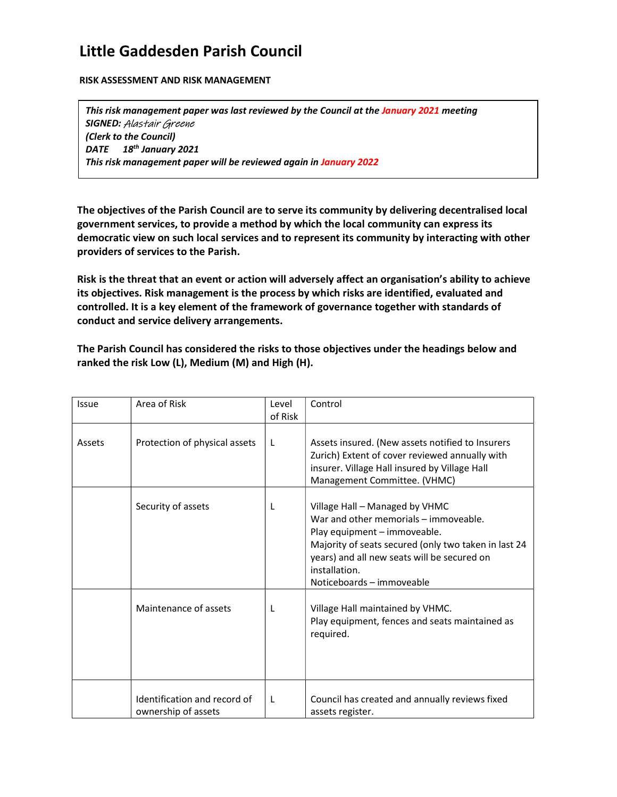## Little Gaddesden Parish Council

RISK ASSESSMENT AND RISK MANAGEMENT

This risk management paper was last reviewed by the Council at the January 2021 meeting SIGNED: Alastair Greene (Clerk to the Council) DATE 18<sup>th</sup> January 2021 This risk management paper will be reviewed again in January 2022

The objectives of the Parish Council are to serve its community by delivering decentralised local government services, to provide a method by which the local community can express its democratic view on such local services and to represent its community by interacting with other providers of services to the Parish.

Risk is the threat that an event or action will adversely affect an organisation's ability to achieve its objectives. Risk management is the process by which risks are identified, evaluated and controlled. It is a key element of the framework of governance together with standards of conduct and service delivery arrangements.

The Parish Council has considered the risks to those objectives under the headings below and ranked the risk Low (L), Medium (M) and High (H).

| Issue  | Area of Risk                                        | Level<br>of Risk | Control                                                                                                                                                                                                                                                      |
|--------|-----------------------------------------------------|------------------|--------------------------------------------------------------------------------------------------------------------------------------------------------------------------------------------------------------------------------------------------------------|
| Assets | Protection of physical assets                       | L                | Assets insured. (New assets notified to Insurers<br>Zurich) Extent of cover reviewed annually with<br>insurer. Village Hall insured by Village Hall<br>Management Committee. (VHMC)                                                                          |
|        | Security of assets                                  | L                | Village Hall - Managed by VHMC<br>War and other memorials – immoveable.<br>Play equipment - immoveable.<br>Majority of seats secured (only two taken in last 24<br>years) and all new seats will be secured on<br>installation.<br>Noticeboards - immoveable |
|        | Maintenance of assets                               | L                | Village Hall maintained by VHMC.<br>Play equipment, fences and seats maintained as<br>required.                                                                                                                                                              |
|        | Identification and record of<br>ownership of assets | L                | Council has created and annually reviews fixed<br>assets register.                                                                                                                                                                                           |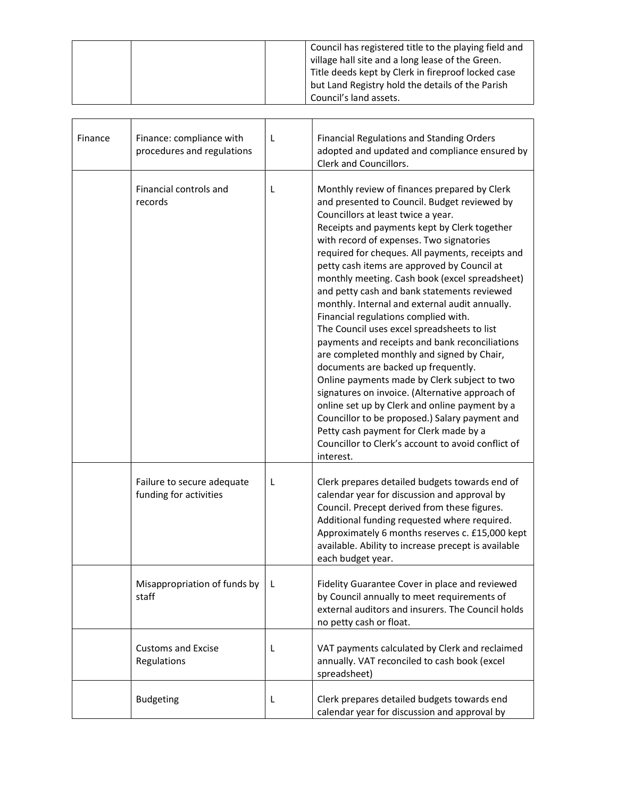|  | Council has registered title to the playing field and |
|--|-------------------------------------------------------|
|  | village hall site and a long lease of the Green.      |
|  | Title deeds kept by Clerk in fireproof locked case    |
|  | but Land Registry hold the details of the Parish      |
|  | Council's land assets.                                |

| Finance | Finance: compliance with<br>procedures and regulations | L | <b>Financial Regulations and Standing Orders</b><br>adopted and updated and compliance ensured by<br>Clerk and Councillors.                                                                                                                                                                                                                                                                                                                                                                                                                                                                                                                                                                                                                                                                                                                                                                                                                                                                                                            |
|---------|--------------------------------------------------------|---|----------------------------------------------------------------------------------------------------------------------------------------------------------------------------------------------------------------------------------------------------------------------------------------------------------------------------------------------------------------------------------------------------------------------------------------------------------------------------------------------------------------------------------------------------------------------------------------------------------------------------------------------------------------------------------------------------------------------------------------------------------------------------------------------------------------------------------------------------------------------------------------------------------------------------------------------------------------------------------------------------------------------------------------|
|         | Financial controls and<br>records                      | L | Monthly review of finances prepared by Clerk<br>and presented to Council. Budget reviewed by<br>Councillors at least twice a year.<br>Receipts and payments kept by Clerk together<br>with record of expenses. Two signatories<br>required for cheques. All payments, receipts and<br>petty cash items are approved by Council at<br>monthly meeting. Cash book (excel spreadsheet)<br>and petty cash and bank statements reviewed<br>monthly. Internal and external audit annually.<br>Financial regulations complied with.<br>The Council uses excel spreadsheets to list<br>payments and receipts and bank reconciliations<br>are completed monthly and signed by Chair,<br>documents are backed up frequently.<br>Online payments made by Clerk subject to two<br>signatures on invoice. (Alternative approach of<br>online set up by Clerk and online payment by a<br>Councillor to be proposed.) Salary payment and<br>Petty cash payment for Clerk made by a<br>Councillor to Clerk's account to avoid conflict of<br>interest. |
|         | Failure to secure adequate<br>funding for activities   | L | Clerk prepares detailed budgets towards end of<br>calendar year for discussion and approval by<br>Council. Precept derived from these figures.<br>Additional funding requested where required.<br>Approximately 6 months reserves c. £15,000 kept<br>available. Ability to increase precept is available<br>each budget year.                                                                                                                                                                                                                                                                                                                                                                                                                                                                                                                                                                                                                                                                                                          |
|         | Misappropriation of funds by<br>staff                  | L | Fidelity Guarantee Cover in place and reviewed<br>by Council annually to meet requirements of<br>external auditors and insurers. The Council holds<br>no petty cash or float.                                                                                                                                                                                                                                                                                                                                                                                                                                                                                                                                                                                                                                                                                                                                                                                                                                                          |
|         | Customs and Excise<br>Regulations                      | L | VAT payments calculated by Clerk and reclaimed<br>annually. VAT reconciled to cash book (excel<br>spreadsheet)                                                                                                                                                                                                                                                                                                                                                                                                                                                                                                                                                                                                                                                                                                                                                                                                                                                                                                                         |
|         | <b>Budgeting</b>                                       | L | Clerk prepares detailed budgets towards end<br>calendar year for discussion and approval by                                                                                                                                                                                                                                                                                                                                                                                                                                                                                                                                                                                                                                                                                                                                                                                                                                                                                                                                            |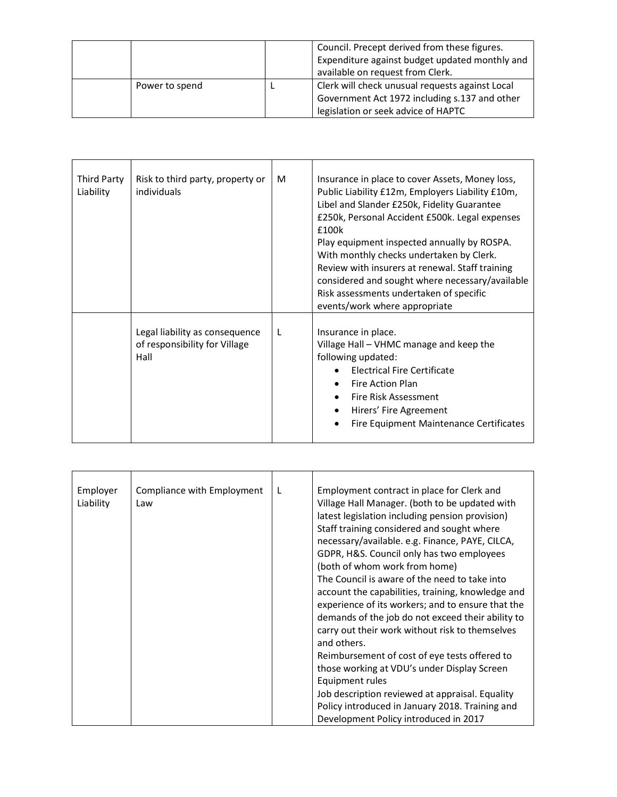|                | Council. Precept derived from these figures.<br>Expenditure against budget updated monthly and<br>available on request from Clerk.      |
|----------------|-----------------------------------------------------------------------------------------------------------------------------------------|
| Power to spend | Clerk will check unusual requests against Local<br>Government Act 1972 including s.137 and other<br>legislation or seek advice of HAPTC |

| Third Party<br>Liability | Risk to third party, property or<br>individuals                         | M | Insurance in place to cover Assets, Money loss,<br>Public Liability £12m, Employers Liability £10m,<br>Libel and Slander £250k, Fidelity Guarantee<br>£250k, Personal Accident £500k. Legal expenses<br>£100k<br>Play equipment inspected annually by ROSPA.<br>With monthly checks undertaken by Clerk.<br>Review with insurers at renewal. Staff training<br>considered and sought where necessary/available<br>Risk assessments undertaken of specific<br>events/work where appropriate |
|--------------------------|-------------------------------------------------------------------------|---|--------------------------------------------------------------------------------------------------------------------------------------------------------------------------------------------------------------------------------------------------------------------------------------------------------------------------------------------------------------------------------------------------------------------------------------------------------------------------------------------|
|                          | Legal liability as consequence<br>of responsibility for Village<br>Hall | L | Insurance in place.<br>Village Hall - VHMC manage and keep the<br>following updated:<br>Electrical Fire Certificate<br>Fire Action Plan<br>Fire Risk Assessment<br>Hirers' Fire Agreement<br>Fire Equipment Maintenance Certificates                                                                                                                                                                                                                                                       |

| Employer<br>Liability | Compliance with Employment<br>Law | L | Employment contract in place for Clerk and<br>Village Hall Manager. (both to be updated with<br>latest legislation including pension provision)<br>Staff training considered and sought where<br>necessary/available. e.g. Finance, PAYE, CILCA,<br>GDPR, H&S. Council only has two employees<br>(both of whom work from home)<br>The Council is aware of the need to take into<br>account the capabilities, training, knowledge and<br>experience of its workers; and to ensure that the<br>demands of the job do not exceed their ability to<br>carry out their work without risk to themselves<br>and others.<br>Reimbursement of cost of eye tests offered to |
|-----------------------|-----------------------------------|---|-------------------------------------------------------------------------------------------------------------------------------------------------------------------------------------------------------------------------------------------------------------------------------------------------------------------------------------------------------------------------------------------------------------------------------------------------------------------------------------------------------------------------------------------------------------------------------------------------------------------------------------------------------------------|
|                       |                                   |   | those working at VDU's under Display Screen                                                                                                                                                                                                                                                                                                                                                                                                                                                                                                                                                                                                                       |
|                       |                                   |   | Equipment rules<br>Job description reviewed at appraisal. Equality                                                                                                                                                                                                                                                                                                                                                                                                                                                                                                                                                                                                |
|                       |                                   |   | Policy introduced in January 2018. Training and                                                                                                                                                                                                                                                                                                                                                                                                                                                                                                                                                                                                                   |
|                       |                                   |   | Development Policy introduced in 2017                                                                                                                                                                                                                                                                                                                                                                                                                                                                                                                                                                                                                             |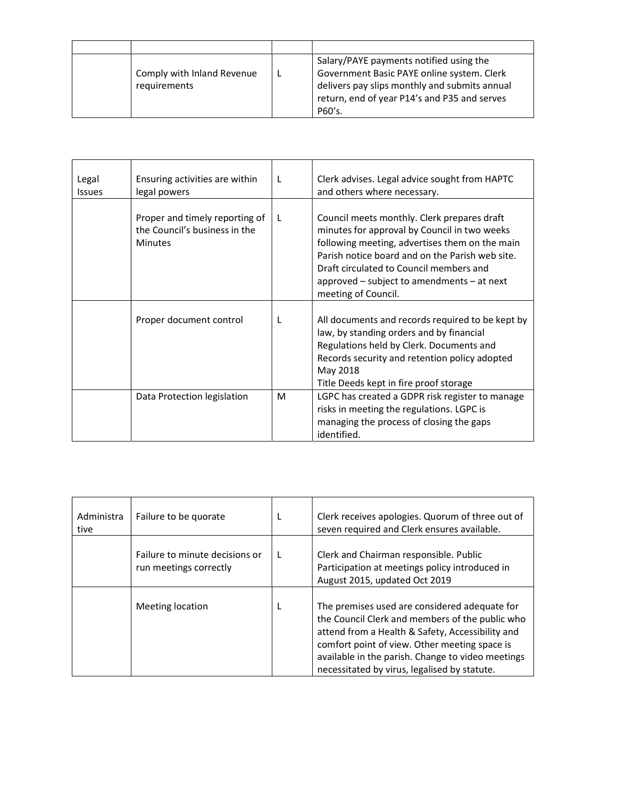| Comply with Inland Revenue<br>requirements | Salary/PAYE payments notified using the<br>Government Basic PAYE online system. Clerk<br>delivers pay slips monthly and submits annual<br>return, end of year P14's and P35 and serves<br>P60's. |
|--------------------------------------------|--------------------------------------------------------------------------------------------------------------------------------------------------------------------------------------------------|

| Legal<br>Issues | Ensuring activities are within<br>legal powers                                    | L | Clerk advises. Legal advice sought from HAPTC<br>and others where necessary.                                                                                                                                                                                                                                         |
|-----------------|-----------------------------------------------------------------------------------|---|----------------------------------------------------------------------------------------------------------------------------------------------------------------------------------------------------------------------------------------------------------------------------------------------------------------------|
|                 | Proper and timely reporting of<br>the Council's business in the<br><b>Minutes</b> | L | Council meets monthly. Clerk prepares draft<br>minutes for approval by Council in two weeks<br>following meeting, advertises them on the main<br>Parish notice board and on the Parish web site.<br>Draft circulated to Council members and<br>approved $-$ subject to amendments $-$ at next<br>meeting of Council. |
|                 | Proper document control                                                           | L | All documents and records required to be kept by<br>law, by standing orders and by financial<br>Regulations held by Clerk. Documents and<br>Records security and retention policy adopted<br>May 2018<br>Title Deeds kept in fire proof storage                                                                      |
|                 | Data Protection legislation                                                       | M | LGPC has created a GDPR risk register to manage<br>risks in meeting the regulations. LGPC is<br>managing the process of closing the gaps<br>identified.                                                                                                                                                              |

| Administra<br>tive | Failure to be quorate                                    | Clerk receives apologies. Quorum of three out of<br>seven required and Clerk ensures available.                                                                                                                                                                                                            |
|--------------------|----------------------------------------------------------|------------------------------------------------------------------------------------------------------------------------------------------------------------------------------------------------------------------------------------------------------------------------------------------------------------|
|                    | Failure to minute decisions or<br>run meetings correctly | Clerk and Chairman responsible. Public<br>Participation at meetings policy introduced in<br>August 2015, updated Oct 2019                                                                                                                                                                                  |
|                    | Meeting location                                         | The premises used are considered adequate for<br>the Council Clerk and members of the public who<br>attend from a Health & Safety, Accessibility and<br>comfort point of view. Other meeting space is<br>available in the parish. Change to video meetings<br>necessitated by virus, legalised by statute. |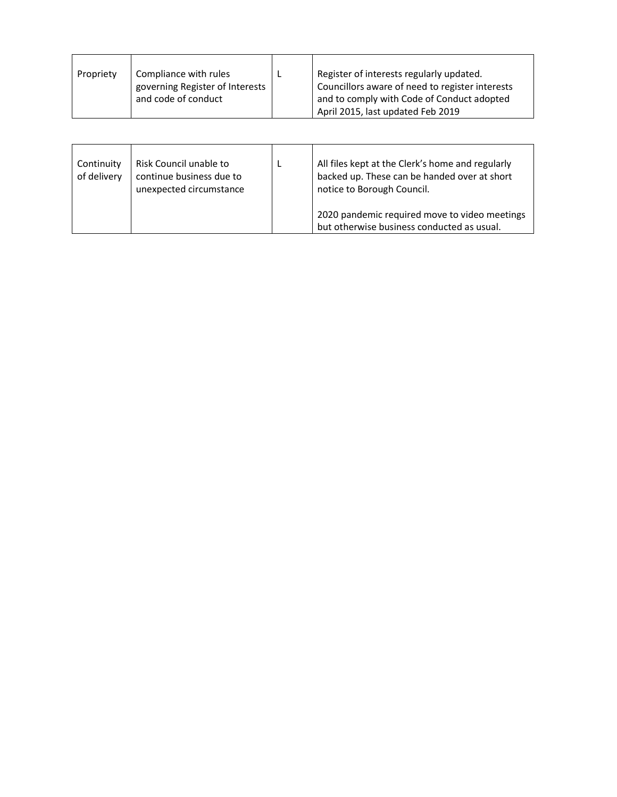| Continuity<br>of delivery | Risk Council unable to<br>continue business due to<br>unexpected circumstance | All files kept at the Clerk's home and regularly<br>backed up. These can be handed over at short<br>notice to Borough Council. |
|---------------------------|-------------------------------------------------------------------------------|--------------------------------------------------------------------------------------------------------------------------------|
|                           |                                                                               | 2020 pandemic required move to video meetings<br>but otherwise business conducted as usual.                                    |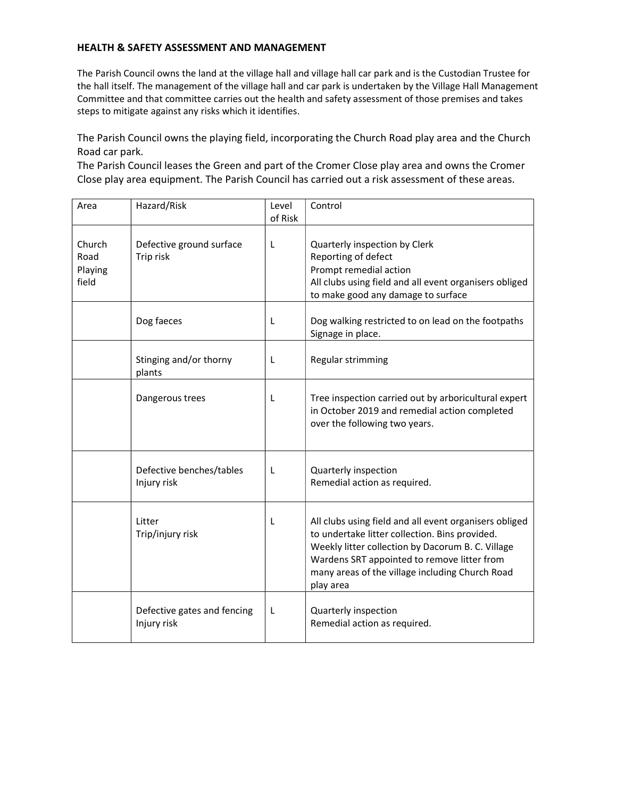## HEALTH & SAFETY ASSESSMENT AND MANAGEMENT

The Parish Council owns the land at the village hall and village hall car park and is the Custodian Trustee for the hall itself. The management of the village hall and car park is undertaken by the Village Hall Management Committee and that committee carries out the health and safety assessment of those premises and takes steps to mitigate against any risks which it identifies.

The Parish Council owns the playing field, incorporating the Church Road play area and the Church Road car park.

The Parish Council leases the Green and part of the Cromer Close play area and owns the Cromer Close play area equipment. The Parish Council has carried out a risk assessment of these areas.

| Area                               | Hazard/Risk                                | Level<br>of Risk | Control                                                                                                                                                                                                                                                                      |
|------------------------------------|--------------------------------------------|------------------|------------------------------------------------------------------------------------------------------------------------------------------------------------------------------------------------------------------------------------------------------------------------------|
| Church<br>Road<br>Playing<br>field | Defective ground surface<br>Trip risk      | L                | Quarterly inspection by Clerk<br>Reporting of defect<br>Prompt remedial action<br>All clubs using field and all event organisers obliged<br>to make good any damage to surface                                                                                               |
|                                    | Dog faeces                                 | L                | Dog walking restricted to on lead on the footpaths<br>Signage in place.                                                                                                                                                                                                      |
|                                    | Stinging and/or thorny<br>plants           | L                | Regular strimming                                                                                                                                                                                                                                                            |
|                                    | Dangerous trees                            | L                | Tree inspection carried out by arboricultural expert<br>in October 2019 and remedial action completed<br>over the following two years.                                                                                                                                       |
|                                    | Defective benches/tables<br>Injury risk    | L                | Quarterly inspection<br>Remedial action as required.                                                                                                                                                                                                                         |
|                                    | Litter<br>Trip/injury risk                 | L                | All clubs using field and all event organisers obliged<br>to undertake litter collection. Bins provided.<br>Weekly litter collection by Dacorum B. C. Village<br>Wardens SRT appointed to remove litter from<br>many areas of the village including Church Road<br>play area |
|                                    | Defective gates and fencing<br>Injury risk | L                | Quarterly inspection<br>Remedial action as required.                                                                                                                                                                                                                         |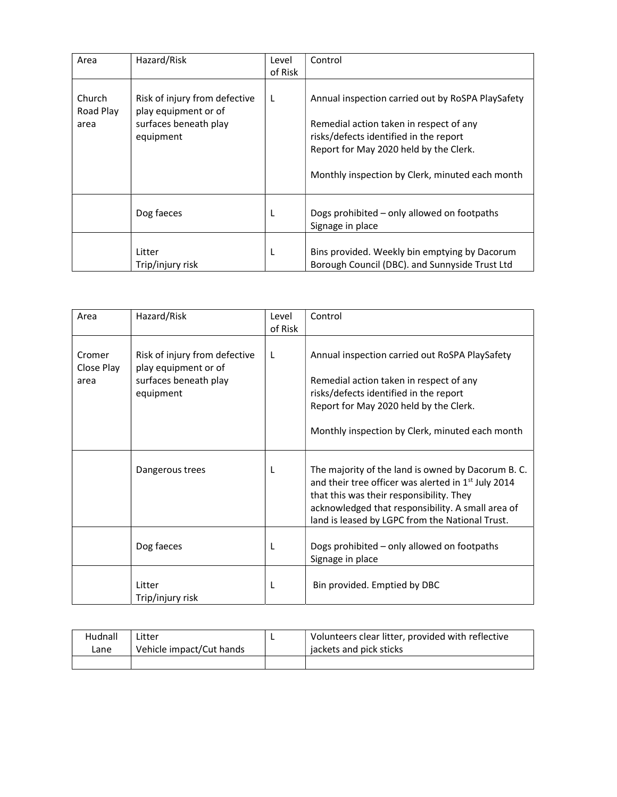| Area                        | Hazard/Risk                                                                                 | Level<br>of Risk | Control                                                                                                                                                                                                                             |
|-----------------------------|---------------------------------------------------------------------------------------------|------------------|-------------------------------------------------------------------------------------------------------------------------------------------------------------------------------------------------------------------------------------|
| Church<br>Road Play<br>area | Risk of injury from defective<br>play equipment or of<br>surfaces beneath play<br>equipment | L                | Annual inspection carried out by RoSPA PlaySafety<br>Remedial action taken in respect of any<br>risks/defects identified in the report<br>Report for May 2020 held by the Clerk.<br>Monthly inspection by Clerk, minuted each month |
|                             | Dog faeces                                                                                  | L                | Dogs prohibited - only allowed on footpaths<br>Signage in place                                                                                                                                                                     |
|                             | Litter<br>Trip/injury risk                                                                  | L                | Bins provided. Weekly bin emptying by Dacorum<br>Borough Council (DBC). and Sunnyside Trust Ltd                                                                                                                                     |

| Area                         | Hazard/Risk                                                                                 | Level<br>of Risk | Control                                                                                                                                                                                                                                                                   |
|------------------------------|---------------------------------------------------------------------------------------------|------------------|---------------------------------------------------------------------------------------------------------------------------------------------------------------------------------------------------------------------------------------------------------------------------|
| Cromer<br>Close Play<br>area | Risk of injury from defective<br>play equipment or of<br>surfaces beneath play<br>equipment | L                | Annual inspection carried out RoSPA PlaySafety<br>Remedial action taken in respect of any<br>risks/defects identified in the report<br>Report for May 2020 held by the Clerk.<br>Monthly inspection by Clerk, minuted each month                                          |
|                              | Dangerous trees                                                                             | L                | The majority of the land is owned by Dacorum B. C.<br>and their tree officer was alerted in 1 <sup>st</sup> July 2014<br>that this was their responsibility. They<br>acknowledged that responsibility. A small area of<br>land is leased by LGPC from the National Trust. |
|                              | Dog faeces                                                                                  | L                | Dogs prohibited - only allowed on footpaths<br>Signage in place                                                                                                                                                                                                           |
|                              | Litter<br>Trip/injury risk                                                                  | L                | Bin provided. Emptied by DBC                                                                                                                                                                                                                                              |

| Hudnall | Litter                   | Volunteers clear litter, provided with reflective |
|---------|--------------------------|---------------------------------------------------|
| ∟ane    | Vehicle impact/Cut hands | jackets and pick sticks                           |
|         |                          |                                                   |